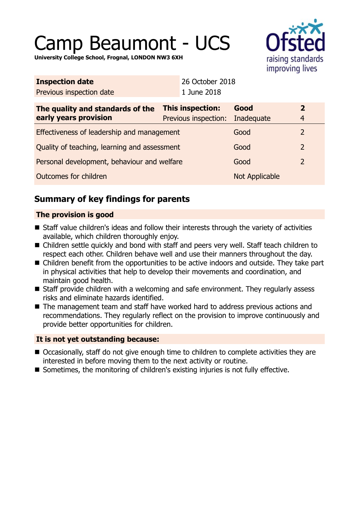# Camp Beaumont - UCS



**University College School, Frognal, LONDON NW3 6XH**

| <b>Inspection date</b>                       |                         | 26 October 2018      |                |                         |
|----------------------------------------------|-------------------------|----------------------|----------------|-------------------------|
| Previous inspection date                     |                         | 1 June 2018          |                |                         |
| The quality and standards of the             | <b>This inspection:</b> |                      | Good           | $\overline{\mathbf{2}}$ |
| early years provision                        |                         | Previous inspection: | Inadequate     | $\overline{4}$          |
| Effectiveness of leadership and management   |                         |                      | Good           | 2                       |
| Quality of teaching, learning and assessment |                         |                      | Good           | $\overline{2}$          |
| Personal development, behaviour and welfare  |                         | Good                 | $\overline{2}$ |                         |
| Outcomes for children                        |                         |                      | Not Applicable |                         |
|                                              |                         |                      |                |                         |

# **Summary of key findings for parents**

## **The provision is good**

- Staff value children's ideas and follow their interests through the variety of activities available, which children thoroughly enjoy.
- Children settle quickly and bond with staff and peers very well. Staff teach children to respect each other. Children behave well and use their manners throughout the day.
- Children benefit from the opportunities to be active indoors and outside. They take part in physical activities that help to develop their movements and coordination, and maintain good health.
- Staff provide children with a welcoming and safe environment. They regularly assess risks and eliminate hazards identified.
- $\blacksquare$  The management team and staff have worked hard to address previous actions and recommendations. They regularly reflect on the provision to improve continuously and provide better opportunities for children.

## **It is not yet outstanding because:**

- Occasionally, staff do not give enough time to children to complete activities they are interested in before moving them to the next activity or routine.
- $\blacksquare$  Sometimes, the monitoring of children's existing injuries is not fully effective.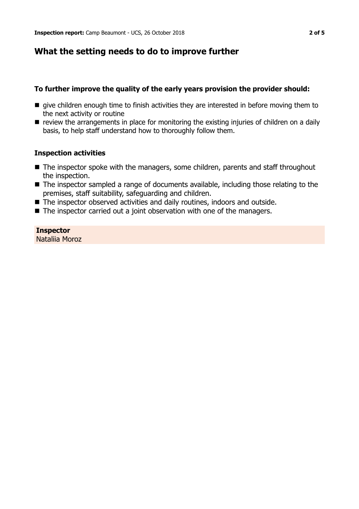## **What the setting needs to do to improve further**

#### **To further improve the quality of the early years provision the provider should:**

- $\blacksquare$  give children enough time to finish activities they are interested in before moving them to the next activity or routine
- $\blacksquare$  review the arrangements in place for monitoring the existing injuries of children on a daily basis, to help staff understand how to thoroughly follow them.

#### **Inspection activities**

- $\blacksquare$  The inspector spoke with the managers, some children, parents and staff throughout the inspection.
- The inspector sampled a range of documents available, including those relating to the premises, staff suitability, safeguarding and children.
- The inspector observed activities and daily routines, indoors and outside.
- $\blacksquare$  The inspector carried out a joint observation with one of the managers.

## **Inspector**

Nataliia Moroz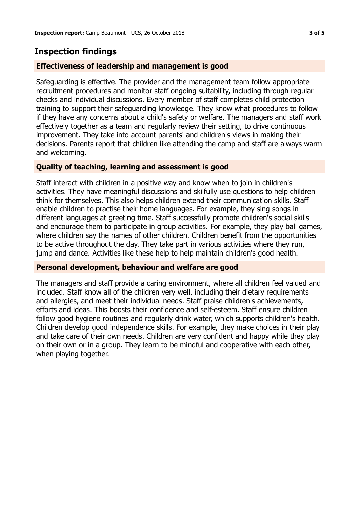# **Inspection findings**

### **Effectiveness of leadership and management is good**

Safeguarding is effective. The provider and the management team follow appropriate recruitment procedures and monitor staff ongoing suitability, including through regular checks and individual discussions. Every member of staff completes child protection training to support their safeguarding knowledge. They know what procedures to follow if they have any concerns about a child's safety or welfare. The managers and staff work effectively together as a team and regularly review their setting, to drive continuous improvement. They take into account parents' and children's views in making their decisions. Parents report that children like attending the camp and staff are always warm and welcoming.

#### **Quality of teaching, learning and assessment is good**

Staff interact with children in a positive way and know when to join in children's activities. They have meaningful discussions and skilfully use questions to help children think for themselves. This also helps children extend their communication skills. Staff enable children to practise their home languages. For example, they sing songs in different languages at greeting time. Staff successfully promote children's social skills and encourage them to participate in group activities. For example, they play ball games, where children say the names of other children. Children benefit from the opportunities to be active throughout the day. They take part in various activities where they run, jump and dance. Activities like these help to help maintain children's good health.

#### **Personal development, behaviour and welfare are good**

The managers and staff provide a caring environment, where all children feel valued and included. Staff know all of the children very well, including their dietary requirements and allergies, and meet their individual needs. Staff praise children's achievements, efforts and ideas. This boosts their confidence and self-esteem. Staff ensure children follow good hygiene routines and regularly drink water, which supports children's health. Children develop good independence skills. For example, they make choices in their play and take care of their own needs. Children are very confident and happy while they play on their own or in a group. They learn to be mindful and cooperative with each other, when playing together.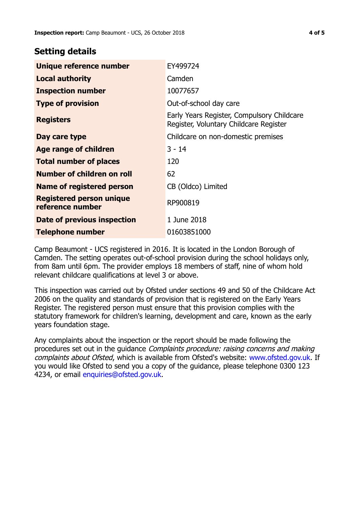## **Setting details**

| Unique reference number                             | EY499724                                                                             |  |
|-----------------------------------------------------|--------------------------------------------------------------------------------------|--|
| <b>Local authority</b>                              | Camden                                                                               |  |
| <b>Inspection number</b>                            | 10077657                                                                             |  |
| <b>Type of provision</b>                            | Out-of-school day care                                                               |  |
| <b>Registers</b>                                    | Early Years Register, Compulsory Childcare<br>Register, Voluntary Childcare Register |  |
| Day care type                                       | Childcare on non-domestic premises                                                   |  |
| <b>Age range of children</b>                        | $3 - 14$                                                                             |  |
| <b>Total number of places</b>                       | 120                                                                                  |  |
| Number of children on roll                          | 62                                                                                   |  |
| Name of registered person                           | CB (Oldco) Limited                                                                   |  |
| <b>Registered person unique</b><br>reference number | RP900819                                                                             |  |
| Date of previous inspection                         | 1 June 2018                                                                          |  |
| Telephone number                                    | 01603851000                                                                          |  |

Camp Beaumont - UCS registered in 2016. It is located in the London Borough of Camden. The setting operates out-of-school provision during the school holidays only, from 8am until 6pm. The provider employs 18 members of staff, nine of whom hold relevant childcare qualifications at level 3 or above.

This inspection was carried out by Ofsted under sections 49 and 50 of the Childcare Act 2006 on the quality and standards of provision that is registered on the Early Years Register. The registered person must ensure that this provision complies with the statutory framework for children's learning, development and care, known as the early years foundation stage.

Any complaints about the inspection or the report should be made following the procedures set out in the quidance *Complaints procedure: raising concerns and making* complaints about Ofsted, which is available from Ofsted's website: www.ofsted.gov.uk. If you would like Ofsted to send you a copy of the guidance, please telephone 0300 123 4234, or email [enquiries@ofsted.gov.uk.](mailto:enquiries@ofsted.gov.uk)